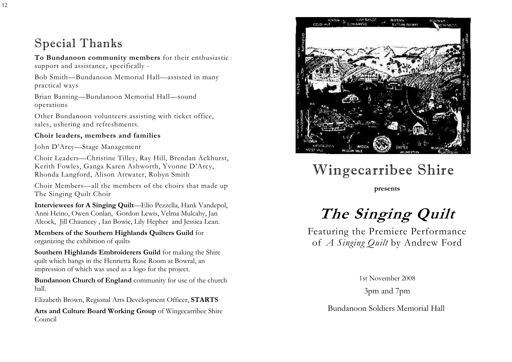### Special Thanks

To Bundanoon community members for their enthusiastic support and assistance, specifically -

Bob Smith—Bundanoon Memorial Hall—assisted in many practical ways

Brian Banting—Bundanoon Memorial Hall—sound operations

Other Bundanoon volunteers assisting with ticket office, sales, ushering and refreshments.

### Choir leaders, members and families

John D'Arcy—Stage Management

Choir Leaders—Christine Tilley, Ray Hill, Brendan Ackhurst, Kerith Fowles, Ganga Karen Ashworth, Yvonne D'Arcy, Rhonda Langford, Alison Attwater, Robyn Smith

Choir Members—all the members of the choirs that made up The Singing Quilt Choir

Interviewees for A Singing Quilt—Elio Pezzella, Hank Vandepol, Anni Heino, Owen Conlan, Gordon Lewis, Velma Mulcahy, Jan Alcock, Jill Chauncey , Ian Bowie, Lily Hepher and Jessica Lean.

Members of the Southern Highlands Quilters Guild for organizing the exhibition of quilts

Southern Highlands Embroiderers Guild for making the Shire quilt which hangs in the Henrietta Rose Room at Bowral, an impression of which was used as a logo for the project.

Bundanoon Church of England community for use of the church hall.

Elizabeth Brown, Regional Arts Development Officer, STARTS

Arts and Culture Board Working Group of Wingecarribee Shire Council



# Wingecarribee Shire

presents

# The Singing Quilt

Featuring the Premiere Performance of A Singing Quilt by Andrew Ford

1st November 2008

3pm and 7pm

Bundanoon Soldiers Memorial Hall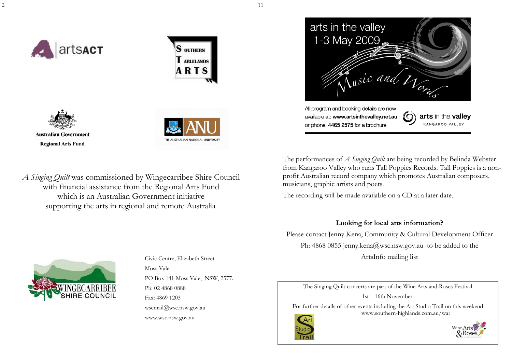







A Singing Quilt was commissioned by Wingecarribee Shire Council with financial assistance from the Regional Arts Fund which is an Australian Government initiative supporting the arts in regional and remote Australia.

1-3 May 2009 usic and  $\nu_{\alpha}$ All program and booking details are now available at: www.artsinthevalley.net.au arts in the valley KANGAROO VALLEY or phone: 4465 2575 for a brochure

arts in the valley

The performances of A Singing Ouilt are being recorded by Belinda Webster from Kangaroo Valley who runs Tall Poppies Records. Tall Poppies is a nonprofit Australian record company which promotes Australian composers, musicians, graphic artists and poets.

The recording will be made available on a CD at a later date.

### Looking for local arts information?

Please contact Jenny Kena, Community & Cultural Development Officer Ph: 4868 0855 jenny.kena@wsc.nsw.gov.au to be added to the ArtsInfo mailing list



Civic Centre, Elizabeth Street Moss Vale. PO Box 141 Moss Vale, NSW, 2577. Ph: 02 4868 0888 Fax: 4869 1203 wscmail@wsc.nsw.gov.au www.wsc.nsw.gov.au

The Singing Quilt concerts are part of the Wine Arts and Roses Festival 1st—16th November.

For further details of other events including the Art Studio Trail on this weekend www.southern-highlands.com.au/war





11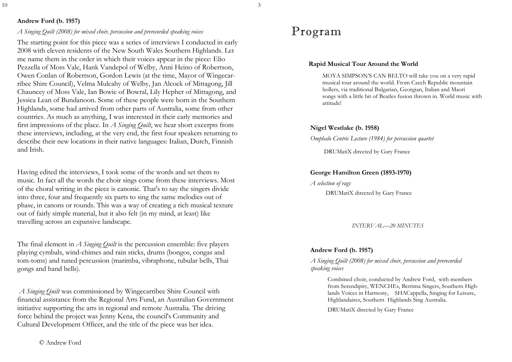#### 3

### Andrew Ford (b. 1957)

### A Singing Quilt (2008) for mixed choir, percussion and prerecorded speaking voices

The starting point for this piece was a series of interviews I conducted in early 2008 with eleven residents of the New South Wales Southern Highlands. Let me name them in the order in which their voices appear in the piece: Elio Pezzella of Moss Vale, Hank Vandepol of Welby, Anni Heino of Robertson, Owen Conlan of Robertson, Gordon Lewis (at the time, Mayor of Wingecarribee Shire Council), Velma Mulcahy of Welby, Jan Alcock of Mittagong, Jill Chauncey of Moss Vale, Ian Bowie of Bowral, Lily Hepher of Mittagong, and Jessica Lean of Bundanoon. Some of these people were born in the Southern Highlands, some had arrived from other parts of Australia, some from other countries. As much as anything, I was interested in their early memories and first impressions of the place. In A Singing Quilt, we hear short excerpts from these interviews, including, at the very end, the first four speakers returning to describe their new locations in their native languages: Italian, Dutch, Finnish and Irish.

Having edited the interviews, I took some of the words and set them to music. In fact all the words the choir sings come from these interviews. Most of the choral writing in the piece is canonic. That's to say the singers divide into three, four and frequently six parts to sing the same melodies out of phase, in canons or rounds. This was a way of creating a rich musical texture out of fairly simple material, but it also felt (in my mind, at least) like travelling across an expansive landscape.

The final element in  $A$  Singing Quilt is the percussion ensemble: five players playing cymbals, wind-chimes and rain sticks, drums (bongos, congas and tom-toms) and tuned percussion (marimba, vibraphone, tubular bells, Thai gongs and hand bells).

A Singing Quilt was commissioned by Wingecarribee Shire Council with financial assistance from the Regional Arts Fund, an Australian Government initiative supporting the arts in regional and remote Australia. The driving force behind the project was Jenny Kena, the council's Community and Cultural Development Officer, and the title of the piece was her idea.

### Rapid Musical Tour Around the World

MOYA SIMPSON'S CAN BELTO will take you on a very rapid musical tour around the world. From Czech Republic mountain hollers, via traditional Bulgarian, Georgian, Italian and Maori songs with a little bit of Beatles fusion thrown in. World music with attitude!

#### Nigel Westlake (b. 1958)

Omphalo Centric Lecture (1984) for percussion quartet

DRUMatiX directed by Gary France

#### George Hamilton Green (1893-1970)

DRUMatiX directed by Gary France A selection of rags

INTERVAL—20 MINUTES

#### Andrew Ford (b. 1957)

A Singing Quilt (2008) for mixed choir, percussion and prerecorded speaking voices

> Combined choir, conducted by Andrew Ford, with members from Serendipity, WENCHEs, Berrima Singers, Southern Highlands Voices in Harmony, SHACappella, Singing for Leisure, Highlandaires, Southern Highlands Sing Australia.

DRUMatiX directed by Gary France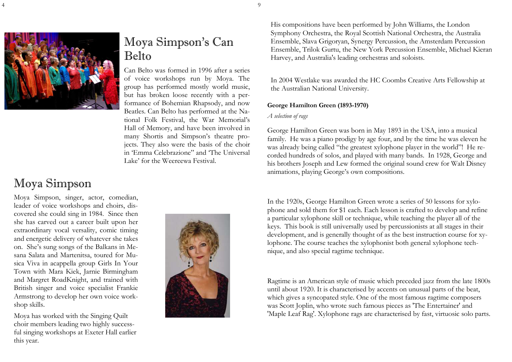

### Moya Simpson's Can Belto

Can Belto was formed in 1996 after a series of voice workshops run by Moya. The group has performed mostly world music, but has broken loose recently with a performance of Bohemian Rhapsody, and now Beatles. Can Belto has performed at the National Folk Festival, the War Memorial's Hall of Memory, and have been involved in many Shortis and Simpson's theatre projects. They also were the basis of the choir in 'Emma Celebrazione" and 'The Universal Lake' for the Weereewa Festival.

### Moya Simpson

Moya Simpson, singer, actor, comedian, leader of voice workshops and choirs, discovered she could sing in 1984. Since then she has carved out a career built upon her extraordinary vocal versality, comic timing and energetic delivery of whatever she takes on. She's sung songs of the Balkans in Mesana Salata and Martenitsa, toured for Musica Viva in acappella group Girls In Your Town with Mara Kiek, Jarnie Birmingham and Margret RoadKnight, and trained with British singer and voice specialist Frankie Armstrong to develop her own voice workshop skills.

Moya has worked with the Singing Quilt choir members leading two highly successful singing workshops at Exeter Hall earlier this year.



His compositions have been performed by John Williams, the London Symphony Orchestra, the Royal Scottish National Orchestra, the Australia Ensemble, Slava Grigoryan, Synergy Percussion, the Amsterdam Percussion Ensemble, Trilok Gurtu, the New York Percussion Ensemble, Michael Kieran Harvey, and Australia's leading orchestras and soloists.

In 2004 Westlake was awarded the HC Coombs Creative Arts Fellowship at the Australian National University.

### George Hamilton Green (1893-1970)

#### A selection of rags

George Hamilton Green was born in May 1893 in the USA, into a musical family. He was a piano prodigy by age four, and by the time he was eleven he was already being called "the greatest xylophone player in the world"! He recorded hundreds of solos, and played with many bands. In 1928, George and his brothers Joseph and Lew formed the original sound crew for Walt Disney animations, playing George's own compositions.

In the 1920s, George Hamilton Green wrote a series of 50 lessons for xylophone and sold them for \$1 each. Each lesson is crafted to develop and refine a particular xylophone skill or technique, while teaching the player all of the keys. This book is still universally used by percussionists at all stages in their development, and is generally thought of as the best instruction course for xylophone. The course teaches the xylophonist both general xylophone technique, and also special ragtime technique.

Ragtime is an American style of music which preceded jazz from the late 1800s until about 1920. It is characterised by accents on unusual parts of the beat, which gives a syncopated style. One of the most famous ragtime composers was Scott Joplin, who wrote such famous pieces as 'The Entertainer' and 'Maple Leaf Rag'. Xylophone rags are characterised by fast, virtuosic solo parts.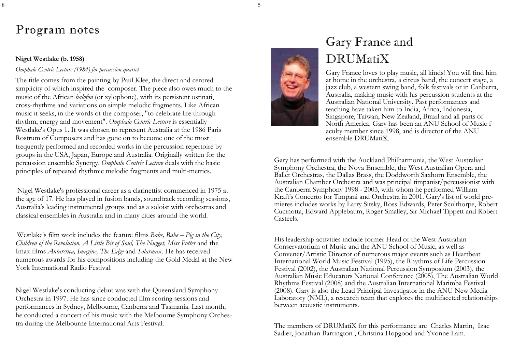## Program notes

8

### Nigel Westlake (b. 1958)

### Omphalo Centric Lecture (1984) for percussion quartet

The title comes from the painting by Paul Klee, the direct and centred simplicity of which inspired the composer. The piece also owes much to the music of the African balofon (or xylophone), with its persistent ostinati, cross-rhythms and variations on simple melodic fragments. Like African music it seeks, in the words of the composer, "to celebrate life through rhythm, energy and movement". Omphalo Centric Lecture is essentially Westlake's Opus 1. It was chosen to represent Australia at the 1986 Paris Rostrum of Composers and has gone on to become one of the most frequently performed and recorded works in the percussion repertoire by groups in the USA, Japan, Europe and Australia. Originally written for the percussion ensemble Synergy, Omphalo Centric Lecture deals with the basic principles of repeated rhythmic melodic fragments and multi-metrics.

 Nigel Westlake's professional career as a clarinettist commenced in 1975 at the age of 17. He has played in fusion bands, soundtrack recording sessions, Australia's leading instrumental groups and as a soloist with orchestras and classical ensembles in Australia and in many cities around the world.

Westlake's film work includes the feature films Babe, Babe – Pig in the City, Children of the Revolution, A Little Bit of Soul, The Nugget, Miss Potter and the Imax films Antarctica, Imagine, The Edge and Solarmax. He has received numerous awards for his compositions including the Gold Medal at the New York International Radio Festival.

Nigel Westlake's conducting debut was with the Queensland Symphony Orchestra in 1997. He has since conducted film scoring sessions and performances in Sydney, Melbourne, Canberra and Tasmania. Last month, he conducted a concert of his music with the Melbourne Symphony Orchestra during the Melbourne International Arts Festival.



### Gary France and DRUMatiX

Gary France loves to play music, all kinds! You will find him at home in the orchestra, a circus band, the concert stage, a jazz club, a western swing band, folk festivals or in Canberra, Australia, making music with his percussion students at the Australian National University. Past performances and teaching have taken him to India, Africa, Indonesia, Singapore, Taiwan, New Zealand, Brazil and all parts of North America. Gary has been an ANU School of Music f aculty member since 1998, and is director of the ANU ensemble DRUMatiX.

Gary has performed with the Auckland Philharmonia, the West Australian Symphony Orchestra, the Nova Ensemble, the West Australian Opera and Ballet Orchestras, the Dallas Brass, the Doddworth Saxhorn Ensemble, the Australian Chamber Orchestra and was principal timpanist/percussionist with the Canberra Symphony 1998 - 2003, with whom he performed William Kraft's Concerto for Timpani and Orchestra in 2001. Gary's list of world premieres includes works by Larry Sitsky, Ross Edwards, Peter Sculthorpe, Robert Cucinotta, Edward Applebaum, Roger Smalley, Sir Michael Tippett and Robert Casteels.

His leadership activities include former Head of the West Australian Conservatorium of Music and the ANU School of Music, as well as Convener/Artistic Director of numerous major events such as Heartbeat International World Music Festival (1995), the Rhythms of Life Percussion Festival (2002), the Australian National Percussion Symposium (2003), the Australian Music Educators National Conference (2005), The Australian World Rhythms Festival (2008) and the Australian International Marimba Festival (2008). Gary is also the Lead Principal Investigator in the ANU New Media Laboratory (NML), a research team that explores the multifaceted relationships between acoustic instruments.

The members of DRUMatiX for this performance are Charles Martin, Izac Sadler, Jonathan Barrington , Christina Hopgood and Yvonne Lam.